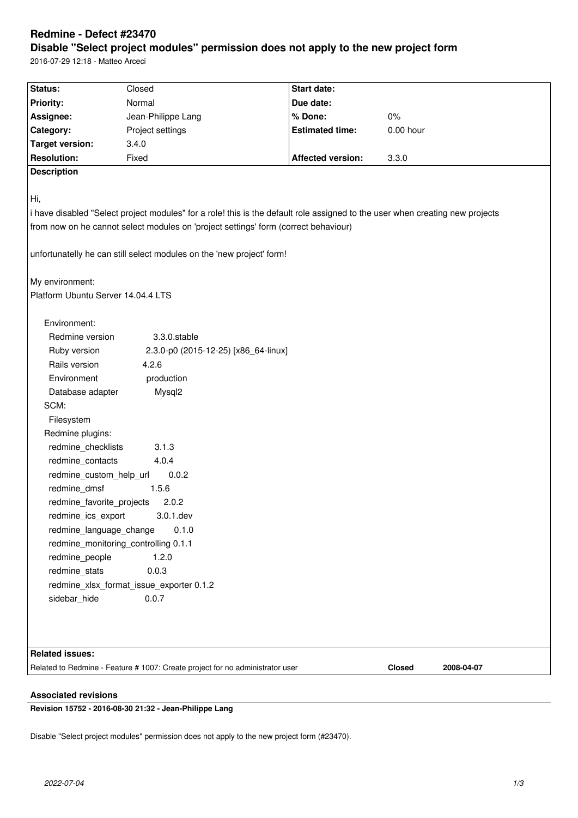# **Redmine - Defect #23470 Disable "Select project modules" permission does not apply to the new project form**

2016-07-29 12:18 - Matteo Arceci

| Status:                                                                                                                       | Closed                               | <b>Start date:</b>       |                      |  |
|-------------------------------------------------------------------------------------------------------------------------------|--------------------------------------|--------------------------|----------------------|--|
| <b>Priority:</b>                                                                                                              | Normal                               | Due date:                |                      |  |
| Assignee:                                                                                                                     | Jean-Philippe Lang                   | % Done:                  | $0\%$                |  |
| Category:                                                                                                                     | Project settings                     | <b>Estimated time:</b>   | $0.00$ hour          |  |
| <b>Target version:</b>                                                                                                        | 3.4.0                                |                          |                      |  |
| <b>Resolution:</b>                                                                                                            | Fixed                                | <b>Affected version:</b> | 3.3.0                |  |
| <b>Description</b>                                                                                                            |                                      |                          |                      |  |
|                                                                                                                               |                                      |                          |                      |  |
| Hi,                                                                                                                           |                                      |                          |                      |  |
|                                                                                                                               |                                      |                          |                      |  |
| i have disabled "Select project modules" for a role! this is the default role assigned to the user when creating new projects |                                      |                          |                      |  |
| from now on he cannot select modules on 'project settings' form (correct behaviour)                                           |                                      |                          |                      |  |
| unfortunatelly he can still select modules on the 'new project' form!                                                         |                                      |                          |                      |  |
|                                                                                                                               |                                      |                          |                      |  |
| My environment:                                                                                                               |                                      |                          |                      |  |
| Platform Ubuntu Server 14.04.4 LTS                                                                                            |                                      |                          |                      |  |
|                                                                                                                               |                                      |                          |                      |  |
| Environment:                                                                                                                  |                                      |                          |                      |  |
| Redmine version                                                                                                               | 3.3.0.stable                         |                          |                      |  |
| Ruby version                                                                                                                  | 2.3.0-p0 (2015-12-25) [x86_64-linux] |                          |                      |  |
| Rails version                                                                                                                 | 4.2.6                                |                          |                      |  |
| Environment                                                                                                                   | production                           |                          |                      |  |
| Database adapter                                                                                                              | Mysql2                               |                          |                      |  |
| SCM:                                                                                                                          |                                      |                          |                      |  |
| Filesystem                                                                                                                    |                                      |                          |                      |  |
| Redmine plugins:                                                                                                              |                                      |                          |                      |  |
| redmine_checklists<br>3.1.3                                                                                                   |                                      |                          |                      |  |
| redmine_contacts<br>4.0.4                                                                                                     |                                      |                          |                      |  |
| redmine_custom_help_url<br>0.0.2                                                                                              |                                      |                          |                      |  |
| redmine dmsf<br>1.5.6                                                                                                         |                                      |                          |                      |  |
| redmine_favorite_projects<br>2.0.2                                                                                            |                                      |                          |                      |  |
| 3.0.1.dev<br>redmine_ics_export                                                                                               |                                      |                          |                      |  |
| 0.1.0<br>redmine_language_change                                                                                              |                                      |                          |                      |  |
| redmine_monitoring_controlling 0.1.1                                                                                          |                                      |                          |                      |  |
| redmine_people<br>1.2.0                                                                                                       |                                      |                          |                      |  |
| redmine_stats                                                                                                                 | 0.0.3                                |                          |                      |  |
| redmine_xlsx_format_issue_exporter 0.1.2                                                                                      |                                      |                          |                      |  |
| sidebar_hide                                                                                                                  | 0.0.7                                |                          |                      |  |
|                                                                                                                               |                                      |                          |                      |  |
|                                                                                                                               |                                      |                          |                      |  |
|                                                                                                                               |                                      |                          |                      |  |
| <b>Related issues:</b>                                                                                                        |                                      |                          |                      |  |
| Related to Redmine - Feature # 1007: Create project for no administrator user                                                 |                                      |                          | Closed<br>2008-04-07 |  |
|                                                                                                                               |                                      |                          |                      |  |

# **Associated revisions**

**Revision 15752 - 2016-08-30 21:32 - Jean-Philippe Lang**

Disable "Select project modules" permission does not apply to the new project form (#23470).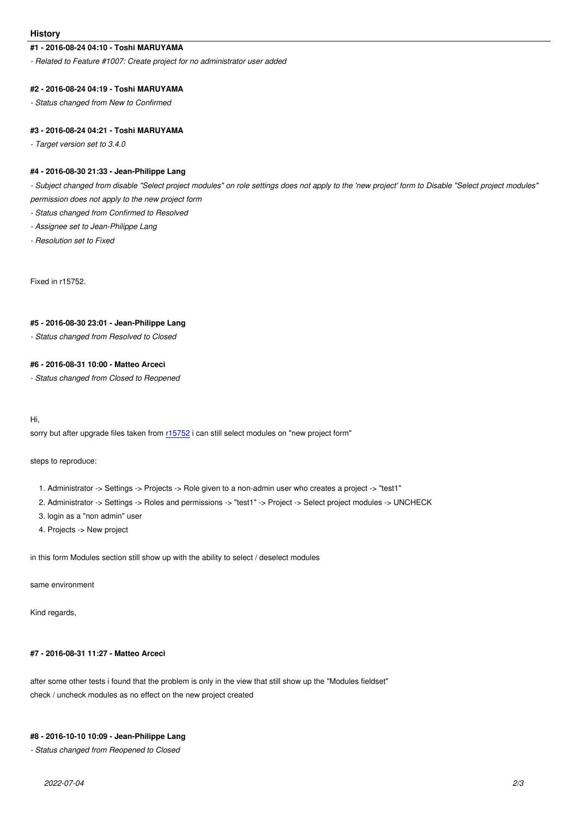#### **#1 - 2016-08-24 04:10 - Toshi MARUYAMA**

*- Related to Feature #1007: Create project for no administrator user added*

#### **#2 - 2016-08-24 04:19 - Toshi MARUYAMA**

*- Status changed from New to Confirmed*

#### **#3 - 2016-08-24 04:21 - Toshi MARUYAMA**

*- Target version set to 3.4.0*

# **#4 - 2016-08-30 21:33 - Jean-Philippe Lang**

*- Subject changed from disable "Select project modules" on role settings does not apply to the 'new project' form to Disable "Select project modules" permission does not apply to the new project form*

*- Status changed from Confirmed to Resolved*

- *Assignee set to Jean-Philippe Lang*
- *Resolution set to Fixed*

Fixed in r15752.

# **#5 - 2016-08-30 23:01 - Jean-Philippe Lang**

*- Status changed from Resolved to Closed*

#### **#6 - 2016-08-31 10:00 - Matteo Arceci**

*- Status changed from Closed to Reopened*

Hi,

sorry but after upgrade files taken from r15752 i can still select modules on "new project form"

steps to reproduce:

- 1. Administrator -> Settings -> Proje[cts -> Ro](http://www.redmine.org/projects/redmine/repository/revisions/15752)le given to a non-admin user who creates a project -> "test1"
- 2. Administrator -> Settings -> Roles and permissions -> "test1" -> Project -> Select project modules -> UNCHECK
- 3. login as a "non admin" user
- 4. Projects -> New project

in this form Modules section still show up with the ability to select / deselect modules

same environment

Kind regards,

#### **#7 - 2016-08-31 11:27 - Matteo Arceci**

after some other tests i found that the problem is only in the view that still show up the "Modules fieldset" check / uncheck modules as no effect on the new project created

# **#8 - 2016-10-10 10:09 - Jean-Philippe Lang**

*- Status changed from Reopened to Closed*